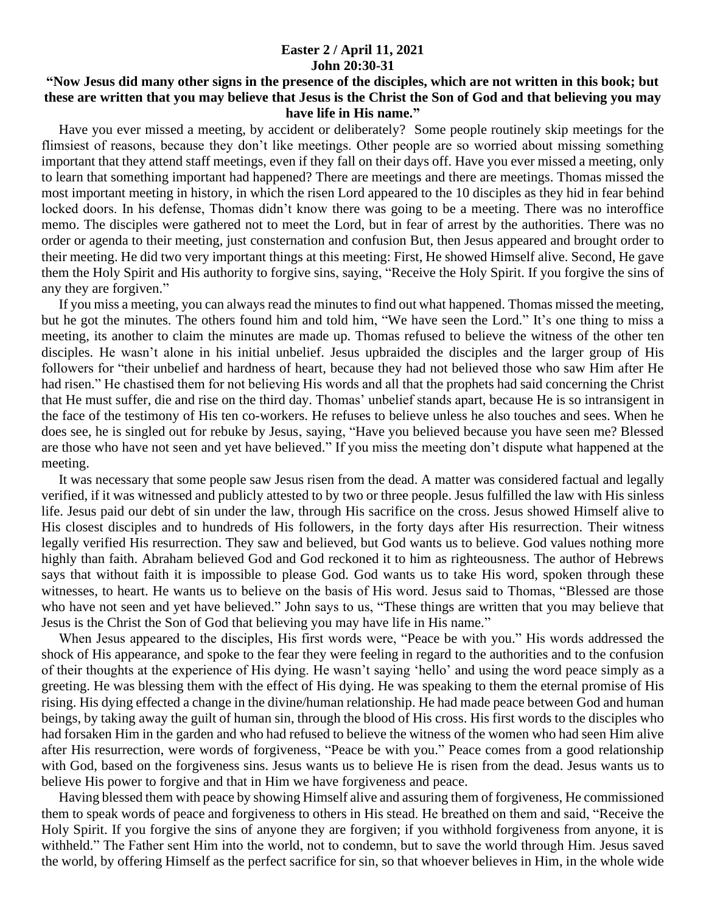## **Easter 2 / April 11, 2021 John 20:30-31**

## **"Now Jesus did many other signs in the presence of the disciples, which are not written in this book; but these are written that you may believe that Jesus is the Christ the Son of God and that believing you may have life in His name."**

 Have you ever missed a meeting, by accident or deliberately? Some people routinely skip meetings for the flimsiest of reasons, because they don't like meetings. Other people are so worried about missing something important that they attend staff meetings, even if they fall on their days off. Have you ever missed a meeting, only to learn that something important had happened? There are meetings and there are meetings. Thomas missed the most important meeting in history, in which the risen Lord appeared to the 10 disciples as they hid in fear behind locked doors. In his defense, Thomas didn't know there was going to be a meeting. There was no interoffice memo. The disciples were gathered not to meet the Lord, but in fear of arrest by the authorities. There was no order or agenda to their meeting, just consternation and confusion But, then Jesus appeared and brought order to their meeting. He did two very important things at this meeting: First, He showed Himself alive. Second, He gave them the Holy Spirit and His authority to forgive sins, saying, "Receive the Holy Spirit. If you forgive the sins of any they are forgiven."

 If you miss a meeting, you can always read the minutes to find out what happened. Thomas missed the meeting, but he got the minutes. The others found him and told him, "We have seen the Lord." It's one thing to miss a meeting, its another to claim the minutes are made up. Thomas refused to believe the witness of the other ten disciples. He wasn't alone in his initial unbelief. Jesus upbraided the disciples and the larger group of His followers for "their unbelief and hardness of heart, because they had not believed those who saw Him after He had risen." He chastised them for not believing His words and all that the prophets had said concerning the Christ that He must suffer, die and rise on the third day. Thomas' unbelief stands apart, because He is so intransigent in the face of the testimony of His ten co-workers. He refuses to believe unless he also touches and sees. When he does see, he is singled out for rebuke by Jesus, saying, "Have you believed because you have seen me? Blessed are those who have not seen and yet have believed." If you miss the meeting don't dispute what happened at the meeting.

 It was necessary that some people saw Jesus risen from the dead. A matter was considered factual and legally verified, if it was witnessed and publicly attested to by two or three people. Jesus fulfilled the law with His sinless life. Jesus paid our debt of sin under the law, through His sacrifice on the cross. Jesus showed Himself alive to His closest disciples and to hundreds of His followers, in the forty days after His resurrection. Their witness legally verified His resurrection. They saw and believed, but God wants us to believe. God values nothing more highly than faith. Abraham believed God and God reckoned it to him as righteousness. The author of Hebrews says that without faith it is impossible to please God. God wants us to take His word, spoken through these witnesses, to heart. He wants us to believe on the basis of His word. Jesus said to Thomas, "Blessed are those who have not seen and yet have believed." John says to us, "These things are written that you may believe that Jesus is the Christ the Son of God that believing you may have life in His name."

 When Jesus appeared to the disciples, His first words were, "Peace be with you." His words addressed the shock of His appearance, and spoke to the fear they were feeling in regard to the authorities and to the confusion of their thoughts at the experience of His dying. He wasn't saying 'hello' and using the word peace simply as a greeting. He was blessing them with the effect of His dying. He was speaking to them the eternal promise of His rising. His dying effected a change in the divine/human relationship. He had made peace between God and human beings, by taking away the guilt of human sin, through the blood of His cross. His first words to the disciples who had forsaken Him in the garden and who had refused to believe the witness of the women who had seen Him alive after His resurrection, were words of forgiveness, "Peace be with you." Peace comes from a good relationship with God, based on the forgiveness sins. Jesus wants us to believe He is risen from the dead. Jesus wants us to believe His power to forgive and that in Him we have forgiveness and peace.

 Having blessed them with peace by showing Himself alive and assuring them of forgiveness, He commissioned them to speak words of peace and forgiveness to others in His stead. He breathed on them and said, "Receive the Holy Spirit. If you forgive the sins of anyone they are forgiven; if you withhold forgiveness from anyone, it is withheld." The Father sent Him into the world, not to condemn, but to save the world through Him. Jesus saved the world, by offering Himself as the perfect sacrifice for sin, so that whoever believes in Him, in the whole wide